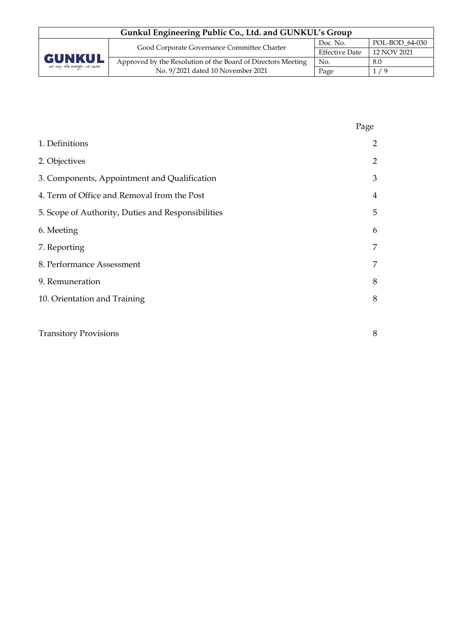| Gunkul Engineering Public Co., Ltd. and GUNKUL's Group |                                                              |                       |                |  |  |
|--------------------------------------------------------|--------------------------------------------------------------|-----------------------|----------------|--|--|
| <b>GUNKUL</b><br>not only the energy, we care          | Good Corporate Governance Committee Charter                  | Doc. No.              | POL-BOD 64-030 |  |  |
|                                                        |                                                              | <b>Effective Date</b> | 12 NOV 2021    |  |  |
|                                                        | Approved by the Resolution of the Board of Directors Meeting | No.                   | 8.0            |  |  |
|                                                        | No. 9/2021 dated 10 November 2021                            | Page                  | 1 / 9          |  |  |

|                                                    | Page           |
|----------------------------------------------------|----------------|
| 1. Definitions                                     | $\overline{2}$ |
| 2. Objectives                                      | $\overline{2}$ |
| 3. Components, Appointment and Qualification       | 3              |
| 4. Term of Office and Removal from the Post        | $\overline{4}$ |
| 5. Scope of Authority, Duties and Responsibilities | 5              |
| 6. Meeting                                         | 6              |
| 7. Reporting                                       | 7              |
| 8. Performance Assessment                          | 7              |
| 9. Remuneration                                    | 8              |
| 10. Orientation and Training                       | 8              |
|                                                    |                |
| <b>Transitory Provisions</b>                       | 8              |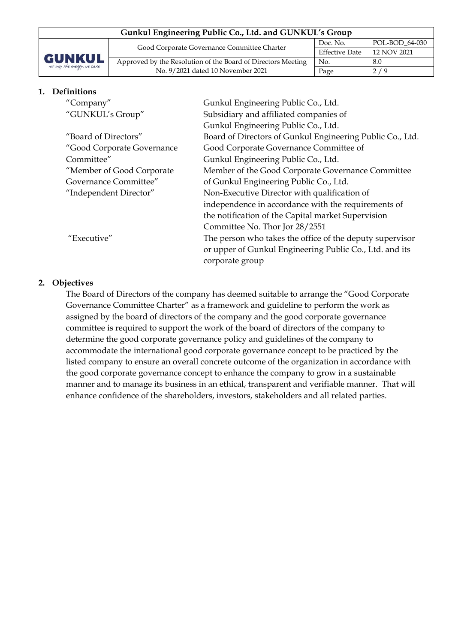| Gunkul Engineering Public Co., Ltd. and GUNKUL's Group |                                                              |                       |                |  |  |
|--------------------------------------------------------|--------------------------------------------------------------|-----------------------|----------------|--|--|
| <b>GUNKUL</b><br>not only the energy, we care          | Good Corporate Governance Committee Charter                  | Doc. No.              | POL-BOD 64-030 |  |  |
|                                                        |                                                              | <b>Effective Date</b> | 12 NOV 2021    |  |  |
|                                                        | Approved by the Resolution of the Board of Directors Meeting | No.                   | 8.0            |  |  |
|                                                        | No. 9/2021 dated 10 November 2021                            | Page                  | 2/9            |  |  |

#### **1. Definitions**

| "Company"                  | Gunkul Engineering Public Co., Ltd.                       |
|----------------------------|-----------------------------------------------------------|
| "GUNKUL's Group"           | Subsidiary and affiliated companies of                    |
|                            | Gunkul Engineering Public Co., Ltd.                       |
| "Board of Directors"       | Board of Directors of Gunkul Engineering Public Co., Ltd. |
| "Good Corporate Governance | Good Corporate Governance Committee of                    |
| Committee"                 | Gunkul Engineering Public Co., Ltd.                       |
| "Member of Good Corporate  | Member of the Good Corporate Governance Committee         |
| Governance Committee"      | of Gunkul Engineering Public Co., Ltd.                    |
| "Independent Director"     | Non-Executive Director with qualification of              |
|                            | independence in accordance with the requirements of       |
|                            | the notification of the Capital market Supervision        |
|                            | Committee No. Thor Jor 28/2551                            |
| "Executive"                | The person who takes the office of the deputy supervisor  |
|                            | or upper of Gunkul Engineering Public Co., Ltd. and its   |
|                            | corporate group                                           |

#### **2. Objectives**

The Board of Directors of the company has deemed suitable to arrange the "Good Corporate Governance Committee Charter" as a framework and guideline to perform the work as assigned by the board of directors of the company and the good corporate governance committee is required to support the work of the board of directors of the company to determine the good corporate governance policy and guidelines of the company to accommodate the international good corporate governance concept to be practiced by the listed company to ensure an overall concrete outcome of the organization in accordance with the good corporate governance concept to enhance the company to grow in a sustainable manner and to manage its business in an ethical, transparent and verifiable manner. That will enhance confidence of the shareholders, investors, stakeholders and all related parties.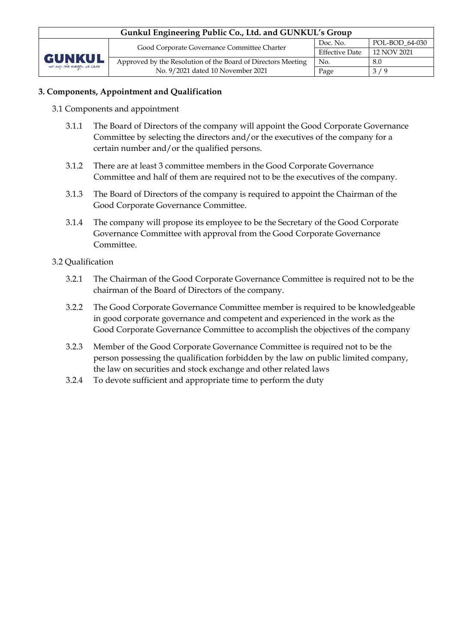| Gunkul Engineering Public Co., Ltd. and GUNKUL's Group |                                                              |                       |                |  |  |
|--------------------------------------------------------|--------------------------------------------------------------|-----------------------|----------------|--|--|
| <b>GUNKUL</b><br>not only the energy, we care          | Good Corporate Governance Committee Charter                  | Doc. No.              | POL-BOD 64-030 |  |  |
|                                                        |                                                              | <b>Effective Date</b> | 12 NOV 2021    |  |  |
|                                                        | Approved by the Resolution of the Board of Directors Meeting | No.                   | 8.0            |  |  |
|                                                        | No. 9/2021 dated 10 November 2021                            | Page                  | 3/9            |  |  |

# **3. Components, Appointment and Qualification**

- 3.1 Components and appointment
	- 3.1.1 The Board of Directors of the company will appoint the Good Corporate Governance Committee by selecting the directors and/or the executives of the company for a certain number and/or the qualified persons.
	- 3.1.2 There are at least 3 committee members in the Good Corporate Governance Committee and half of them are required not to be the executives of the company.
	- 3.1.3 The Board of Directors of the company is required to appoint the Chairman of the Good Corporate Governance Committee.
	- 3.1.4 The company will propose its employee to be the Secretary of the Good Corporate Governance Committee with approval from the Good Corporate Governance Committee.

### 3.2 Qualification

- 3.2.1 The Chairman of the Good Corporate Governance Committee is required not to be the chairman of the Board of Directors of the company.
- 3.2.2 The Good Corporate Governance Committee member is required to be knowledgeable in good corporate governance and competent and experienced in the work as the Good Corporate Governance Committee to accomplish the objectives of the company
- 3.2.3 Member of the Good Corporate Governance Committee is required not to be the person possessing the qualification forbidden by the law on public limited company, the law on securities and stock exchange and other related laws
- 3.2.4 To devote sufficient and appropriate time to perform the duty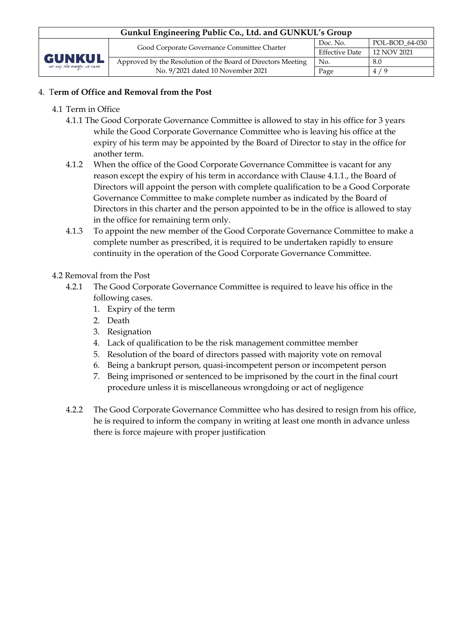# 4. T**erm of Office and Removal from the Post**

- 4.1 Term in Office
	- 4.1.1 The Good Corporate Governance Committee is allowed to stay in his office for 3 years while the Good Corporate Governance Committee who is leaving his office at the expiry of his term may be appointed by the Board of Director to stay in the office for another term.
	- 4.1.2 When the office of the Good Corporate Governance Committee is vacant for any reason except the expiry of his term in accordance with Clause 4.1.1., the Board of Directors will appoint the person with complete qualification to be a Good Corporate Governance Committee to make complete number as indicated by the Board of Directors in this charter and the person appointed to be in the office is allowed to stay in the office for remaining term only.
	- 4.1.3 To appoint the new member of the Good Corporate Governance Committee to make a complete number as prescribed, it is required to be undertaken rapidly to ensure continuity in the operation of the Good Corporate Governance Committee.
- 4.2 Removal from the Post
	- 4.2.1 The Good Corporate Governance Committee is required to leave his office in the following cases.
		- 1. Expiry of the term
		- 2. Death
		- 3. Resignation
		- 4. Lack of qualification to be the risk management committee member
		- 5. Resolution of the board of directors passed with majority vote on removal
		- 6. Being a bankrupt person, quasi-incompetent person or incompetent person
		- 7. Being imprisoned or sentenced to be imprisoned by the court in the final court procedure unless it is miscellaneous wrongdoing or act of negligence
	- 4.2.2 The Good Corporate Governance Committee who has desired to resign from his office, he is required to inform the company in writing at least one month in advance unless there is force majeure with proper justification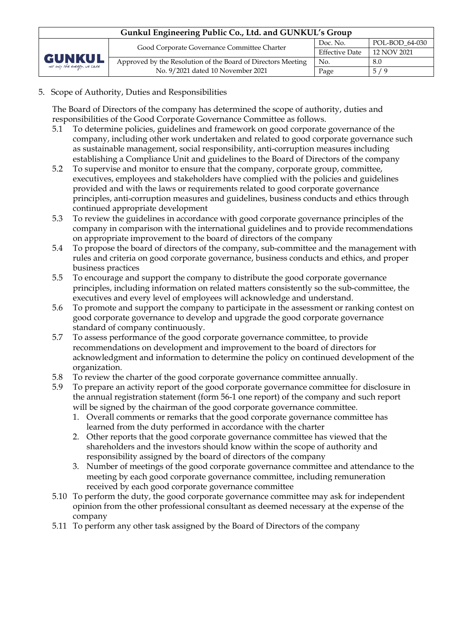| Gunkul Engineering Public Co., Ltd. and GUNKUL's Group |                                                              |                       |                |  |  |
|--------------------------------------------------------|--------------------------------------------------------------|-----------------------|----------------|--|--|
| <b>GUNKUL</b><br>not only the energy, we care          | Good Corporate Governance Committee Charter                  | Doc. No.              | POL-BOD 64-030 |  |  |
|                                                        |                                                              | <b>Effective Date</b> | 12 NOV 2021    |  |  |
|                                                        | Approved by the Resolution of the Board of Directors Meeting | No.                   | 8.0            |  |  |
|                                                        | No. 9/2021 dated 10 November 2021                            | Page                  | 5/9            |  |  |

### 5. Scope of Authority, Duties and Responsibilities

The Board of Directors of the company has determined the scope of authority, duties and responsibilities of the Good Corporate Governance Committee as follows.

- 5.1 To determine policies, guidelines and framework on good corporate governance of the company, including other work undertaken and related to good corporate governance such as sustainable management, social responsibility, anti-corruption measures including establishing a Compliance Unit and guidelines to the Board of Directors of the company
- 5.2 To supervise and monitor to ensure that the company, corporate group, committee, executives, employees and stakeholders have complied with the policies and guidelines provided and with the laws or requirements related to good corporate governance principles, anti-corruption measures and guidelines, business conducts and ethics through continued appropriate development
- 5.3 To review the guidelines in accordance with good corporate governance principles of the company in comparison with the international guidelines and to provide recommendations on appropriate improvement to the board of directors of the company
- 5.4 To propose the board of directors of the company, sub-committee and the management with rules and criteria on good corporate governance, business conducts and ethics, and proper business practices
- 5.5 To encourage and support the company to distribute the good corporate governance principles, including information on related matters consistently so the sub-committee, the executives and every level of employees will acknowledge and understand.
- 5.6 To promote and support the company to participate in the assessment or ranking contest on good corporate governance to develop and upgrade the good corporate governance standard of company continuously.
- 5.7 To assess performance of the good corporate governance committee, to provide recommendations on development and improvement to the board of directors for acknowledgment and information to determine the policy on continued development of the organization.
- 5.8 To review the charter of the good corporate governance committee annually.
- 5.9 To prepare an activity report of the good corporate governance committee for disclosure in the annual registration statement (form 56-1 one report) of the company and such report will be signed by the chairman of the good corporate governance committee.
	- 1. Overall comments or remarks that the good corporate governance committee has learned from the duty performed in accordance with the charter
	- 2. Other reports that the good corporate governance committee has viewed that the shareholders and the investors should know within the scope of authority and responsibility assigned by the board of directors of the company
	- 3. Number of meetings of the good corporate governance committee and attendance to the meeting by each good corporate governance committee, including remuneration received by each good corporate governance committee
- 5.10 To perform the duty, the good corporate governance committee may ask for independent opinion from the other professional consultant as deemed necessary at the expense of the company
- 5.11 To perform any other task assigned by the Board of Directors of the company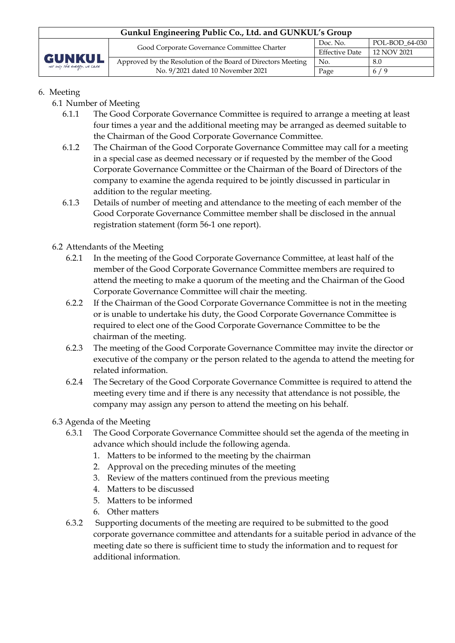| Gunkul Engineering Public Co., Ltd. and GUNKUL's Group |                                                              |                       |                |  |  |
|--------------------------------------------------------|--------------------------------------------------------------|-----------------------|----------------|--|--|
| <b>GUNKUL</b><br>not only the energy, we care          | Good Corporate Governance Committee Charter                  | Doc. No.              | POL-BOD 64-030 |  |  |
|                                                        |                                                              | <b>Effective Date</b> | 12 NOV 2021    |  |  |
|                                                        | Approved by the Resolution of the Board of Directors Meeting | No.                   | 8.0            |  |  |
|                                                        | No. 9/2021 dated 10 November 2021                            | Page                  | 6/9            |  |  |

# 6. Meeting

- 6.1 Number of Meeting
	- 6.1.1 The Good Corporate Governance Committee is required to arrange a meeting at least four times a year and the additional meeting may be arranged as deemed suitable to the Chairman of the Good Corporate Governance Committee.
	- 6.1.2 The Chairman of the Good Corporate Governance Committee may call for a meeting in a special case as deemed necessary or if requested by the member of the Good Corporate Governance Committee or the Chairman of the Board of Directors of the company to examine the agenda required to be jointly discussed in particular in addition to the regular meeting.
	- 6.1.3 Details of number of meeting and attendance to the meeting of each member of the Good Corporate Governance Committee member shall be disclosed in the annual registration statement (form 56-1 one report).

# 6.2 Attendants of the Meeting

- 6.2.1 In the meeting of the Good Corporate Governance Committee, at least half of the member of the Good Corporate Governance Committee members are required to attend the meeting to make a quorum of the meeting and the Chairman of the Good Corporate Governance Committee will chair the meeting.
- 6.2.2 If the Chairman of the Good Corporate Governance Committee is not in the meeting or is unable to undertake his duty, the Good Corporate Governance Committee is required to elect one of the Good Corporate Governance Committee to be the chairman of the meeting.
- 6.2.3 The meeting of the Good Corporate Governance Committee may invite the director or executive of the company or the person related to the agenda to attend the meeting for related information.
- 6.2.4 The Secretary of the Good Corporate Governance Committee is required to attend the meeting every time and if there is any necessity that attendance is not possible, the company may assign any person to attend the meeting on his behalf.

# 6.3 Agenda of the Meeting

- 6.3.1 The Good Corporate Governance Committee should set the agenda of the meeting in advance which should include the following agenda.
	- 1. Matters to be informed to the meeting by the chairman
	- 2. Approval on the preceding minutes of the meeting
	- 3. Review of the matters continued from the previous meeting
	- 4. Matters to be discussed
	- 5. Matters to be informed
	- 6. Other matters
- 6.3.2 Supporting documents of the meeting are required to be submitted to the good corporate governance committee and attendants for a suitable period in advance of the meeting date so there is sufficient time to study the information and to request for additional information.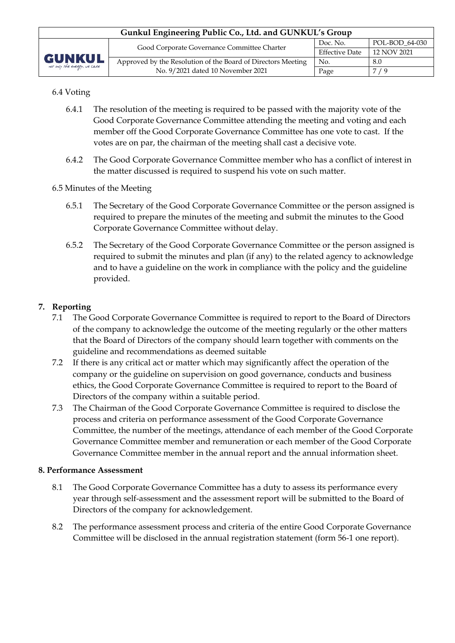| Gunkul Engineering Public Co., Ltd. and GUNKUL's Group |                                                              |                       |                |  |  |
|--------------------------------------------------------|--------------------------------------------------------------|-----------------------|----------------|--|--|
| <b>GUNKUL</b><br>not only the energy, we care          | Good Corporate Governance Committee Charter                  | Doc. No.              | POL-BOD 64-030 |  |  |
|                                                        |                                                              | <b>Effective Date</b> | 12 NOV 2021    |  |  |
|                                                        | Approved by the Resolution of the Board of Directors Meeting | No.                   | 8.0            |  |  |
|                                                        | No. 9/2021 dated 10 November 2021                            | Page                  | 7/9            |  |  |

# 6.4 Voting

- 6.4.1 The resolution of the meeting is required to be passed with the majority vote of the Good Corporate Governance Committee attending the meeting and voting and each member off the Good Corporate Governance Committee has one vote to cast. If the votes are on par, the chairman of the meeting shall cast a decisive vote.
- 6.4.2 The Good Corporate Governance Committee member who has a conflict of interest in the matter discussed is required to suspend his vote on such matter.
- 6.5 Minutes of the Meeting
	- 6.5.1 The Secretary of the Good Corporate Governance Committee or the person assigned is required to prepare the minutes of the meeting and submit the minutes to the Good Corporate Governance Committee without delay.
	- 6.5.2 The Secretary of the Good Corporate Governance Committee or the person assigned is required to submit the minutes and plan (if any) to the related agency to acknowledge and to have a guideline on the work in compliance with the policy and the guideline provided.

# **7. Reporting**

- 7.1 The Good Corporate Governance Committee is required to report to the Board of Directors of the company to acknowledge the outcome of the meeting regularly or the other matters that the Board of Directors of the company should learn together with comments on the guideline and recommendations as deemed suitable
- 7.2 If there is any critical act or matter which may significantly affect the operation of the company or the guideline on supervision on good governance, conducts and business ethics, the Good Corporate Governance Committee is required to report to the Board of Directors of the company within a suitable period.
- 7.3 The Chairman of the Good Corporate Governance Committee is required to disclose the process and criteria on performance assessment of the Good Corporate Governance Committee, the number of the meetings, attendance of each member of the Good Corporate Governance Committee member and remuneration or each member of the Good Corporate Governance Committee member in the annual report and the annual information sheet.

### **8. Performance Assessment**

- 8.1 The Good Corporate Governance Committee has a duty to assess its performance every year through self-assessment and the assessment report will be submitted to the Board of Directors of the company for acknowledgement.
- 8.2 The performance assessment process and criteria of the entire Good Corporate Governance Committee will be disclosed in the annual registration statement (form 56-1 one report).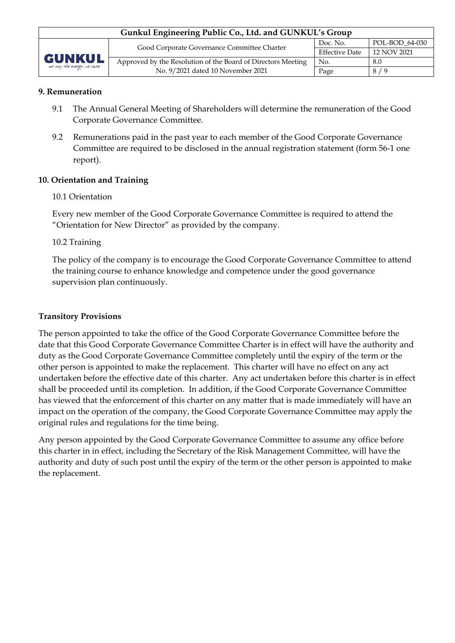| Gunkul Engineering Public Co., Ltd. and GUNKUL's Group |                                                              |                       |                |  |  |
|--------------------------------------------------------|--------------------------------------------------------------|-----------------------|----------------|--|--|
| <b>GUNKUL</b><br>not only the energy, we care          | Good Corporate Governance Committee Charter                  | Doc. No.              | POL-BOD 64-030 |  |  |
|                                                        |                                                              | <b>Effective Date</b> | 12 NOV 2021    |  |  |
|                                                        | Approved by the Resolution of the Board of Directors Meeting | No.                   | 8.0            |  |  |
|                                                        | No. 9/2021 dated 10 November 2021                            | Page                  | 8/9            |  |  |

#### **9. Remuneration**

- 9.1 The Annual General Meeting of Shareholders will determine the remuneration of the Good Corporate Governance Committee.
- 9.2 Remunerations paid in the past year to each member of the Good Corporate Governance Committee are required to be disclosed in the annual registration statement (form 56-1 one report).

### **10. Orientation and Training**

#### 10.1 Orientation

Every new member of the Good Corporate Governance Committee is required to attend the "Orientation for New Director" as provided by the company.

#### 10.2 Training

The policy of the company is to encourage the Good Corporate Governance Committee to attend the training course to enhance knowledge and competence under the good governance supervision plan continuously.

#### **Transitory Provisions**

The person appointed to take the office of the Good Corporate Governance Committee before the date that this Good Corporate Governance Committee Charter is in effect will have the authority and duty as the Good Corporate Governance Committee completely until the expiry of the term or the other person is appointed to make the replacement. This charter will have no effect on any act undertaken before the effective date of this charter. Any act undertaken before this charter is in effect shall be proceeded until its completion. In addition, if the Good Corporate Governance Committee has viewed that the enforcement of this charter on any matter that is made immediately will have an impact on the operation of the company, the Good Corporate Governance Committee may apply the original rules and regulations for the time being.

Any person appointed by the Good Corporate Governance Committee to assume any office before this charter in in effect, including the Secretary of the Risk Management Committee, will have the authority and duty of such post until the expiry of the term or the other person is appointed to make the replacement.